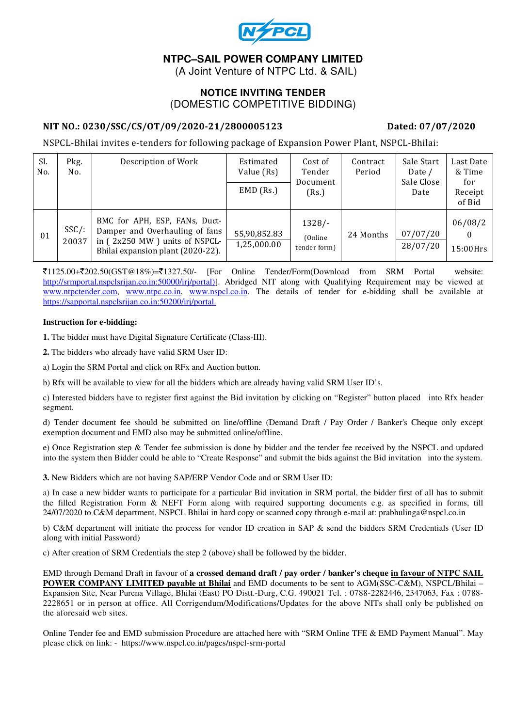

# **NTPC–SAIL POWER COMPANY LIMITED**

(A Joint Venture of NTPC Ltd. & SAIL)

### **NOTICE INVITING TENDER**  (DOMESTIC COMPETITIVE BIDDING)

#### NIT NO.: 0230/SSC/CS/OT/09/2020-21/2800005123 Dated: 07/07/2020

NSPCL-Bhilai invites e-tenders for following package of Expansion Power Plant, NSPCL-Bhilai:

| Sl.<br>No. | Pkg.<br>No.       | Description of Work                                                                                                                   | Estimated<br>Value (Rs)<br>$EMD$ (Rs.) | Cost of<br>Tender<br>Document<br>(Rs.) | Contract<br>Period | Sale Start<br>Date /<br>Sale Close<br>Date | Last Date<br>& Time<br>for<br>Receipt<br>of Bid |
|------------|-------------------|---------------------------------------------------------------------------------------------------------------------------------------|----------------------------------------|----------------------------------------|--------------------|--------------------------------------------|-------------------------------------------------|
| 01         | $SSC/$ :<br>20037 | BMC for APH, ESP, FANs, Duct-<br>Damper and Overhauling of fans<br>in (2x250 MW) units of NSPCL-<br>Bhilai expansion plant (2020-22). | 55,90,852.83<br>1,25,000.00            | $1328/-$<br>(Online)<br>tender form)   | 24 Months          | 07/07/20<br>28/07/20                       | 06/08/2<br>$15:00$ Hrs                          |

 $\bar{\mathcal{F}}$ 1125.00+ $\bar{\mathcal{F}}$ 202.50(GST@18%)= $\bar{\mathcal{F}}$ 1327.50/- [For Online Tender/Form(Download from SRM Portal website: http://srmportal.nspclsrijan.co.in:50000/irj/portal)]. Abridged NIT along with Qualifying Requirement may be viewed at www.ntpctender.com, www.ntpc.co.in, www.nspcl.co.in. The details of tender for e-bidding shall be available at https://sapportal.nspclsrijan.co.in:50200/irj/portal.

#### **Instruction for e-bidding:**

**1.** The bidder must have Digital Signature Certificate (Class-III).

**2.** The bidders who already have valid SRM User ID:

a) Login the SRM Portal and click on RFx and Auction button.

b) Rfx will be available to view for all the bidders which are already having valid SRM User ID's.

c) Interested bidders have to register first against the Bid invitation by clicking on "Register" button placed into Rfx header segment.

d) Tender document fee should be submitted on line/offline (Demand Draft / Pay Order / Banker's Cheque only except exemption document and EMD also may be submitted online/offline.

e) Once Registration step & Tender fee submission is done by bidder and the tender fee received by the NSPCL and updated into the system then Bidder could be able to "Create Response" and submit the bids against the Bid invitation into the system.

**3.** New Bidders which are not having SAP/ERP Vendor Code and or SRM User ID:

a) In case a new bidder wants to participate for a particular Bid invitation in SRM portal, the bidder first of all has to submit the filled Registration Form & NEFT Form along with required supporting documents e.g. as specified in forms, till 24/07/2020 to C&M department, NSPCL Bhilai in hard copy or scanned copy through e-mail at: prabhulinga@nspcl.co.in

b) C&M department will initiate the process for vendor ID creation in SAP & send the bidders SRM Credentials (User ID along with initial Password)

c) After creation of SRM Credentials the step 2 (above) shall be followed by the bidder.

EMD through Demand Draft in favour of **a crossed demand draft / pay order / banker's cheque in favour of NTPC SAIL POWER COMPANY LIMITED payable at Bhilai** and EMD documents to be sent to AGM(SSC-C&M), NSPCL/Bhilai – Expansion Site, Near Purena Village, Bhilai (East) PO Distt.-Durg, C.G. 490021 Tel. : 0788-2282446, 2347063, Fax : 0788- 2228651 or in person at office. All Corrigendum/Modifications/Updates for the above NITs shall only be published on the aforesaid web sites.

Online Tender fee and EMD submission Procedure are attached here with "SRM Online TFE & EMD Payment Manual". May please click on link: - https://www.nspcl.co.in/pages/nspcl-srm-portal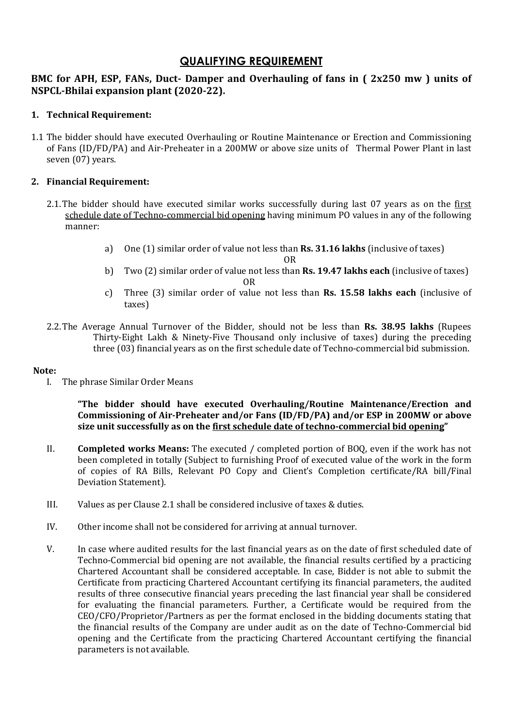# QUALIFYING REQUIREMENT

### BMC for APH, ESP, FANs, Duct- Damper and Overhauling of fans in ( 2x250 mw ) units of NSPCL-Bhilai expansion plant (2020-22).

#### 1. Technical Requirement:

1.1 The bidder should have executed Overhauling or Routine Maintenance or Erection and Commissioning of Fans (ID/FD/PA) and Air-Preheater in a 200MW or above size units of Thermal Power Plant in last seven (07) years.

#### 2. Financial Requirement:

- 2.1.The bidder should have executed similar works successfully during last 07 years as on the first schedule date of Techno-commercial bid opening having minimum PO values in any of the following manner:
	- a) One (1) similar order of value not less than Rs. 31.16 lakhs (inclusive of taxes)

OR

- b) Two (2) similar order of value not less than **Rs. 19.47 lakhs each** (inclusive of taxes) OR
- c) Three (3) similar order of value not less than **Rs. 15.58 lakhs each** (inclusive of taxes)
- 2.2. The Average Annual Turnover of the Bidder, should not be less than Rs. 38.95 lakhs (Rupees Thirty-Eight Lakh & Ninety-Five Thousand only inclusive of taxes) during the preceding three (03) financial years as on the first schedule date of Techno-commercial bid submission.

#### Note:

I. The phrase Similar Order Means

"The bidder should have executed Overhauling/Routine Maintenance/Erection and Commissioning of Air-Preheater and/or Fans (ID/FD/PA) and/or ESP in 200MW or above size unit successfully as on the <u>first schedule date of techno-commercial bid opening</u>"

- II. Completed works Means: The executed / completed portion of BOQ, even if the work has not been completed in totally (Subject to furnishing Proof of executed value of the work in the form of copies of RA Bills, Relevant PO Copy and Client's Completion certificate/RA bill/Final Deviation Statement).
- III. Values as per Clause 2.1 shall be considered inclusive of taxes & duties.
- IV. Other income shall not be considered for arriving at annual turnover.
- V. In case where audited results for the last financial years as on the date of first scheduled date of Techno-Commercial bid opening are not available, the financial results certified by a practicing Chartered Accountant shall be considered acceptable. In case, Bidder is not able to submit the Certificate from practicing Chartered Accountant certifying its financial parameters, the audited results of three consecutive financial years preceding the last financial year shall be considered for evaluating the financial parameters. Further, a Certificate would be required from the CEO/CFO/Proprietor/Partners as per the format enclosed in the bidding documents stating that the financial results of the Company are under audit as on the date of Techno-Commercial bid opening and the Certificate from the practicing Chartered Accountant certifying the financial parameters is not available.